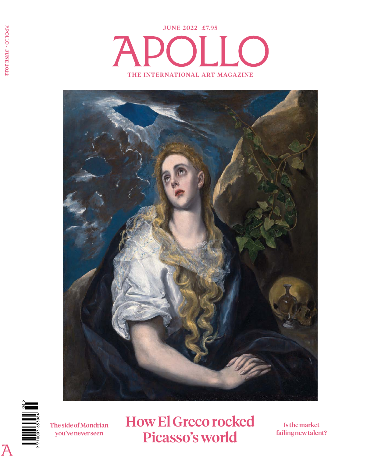



 $\overline{\mathcal{P}}$ 

The side of Mondrian you've never seen

How El Greco rocked Picasso's world

Is the market failing new talent?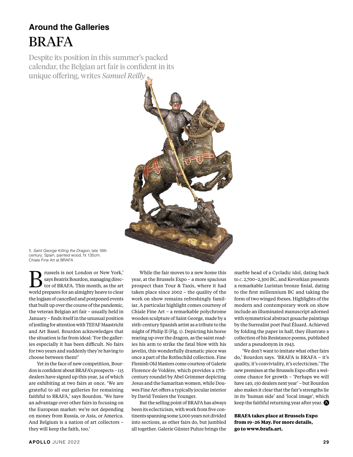### **Around the Galleries** BRAFA

Despite its position in this summer's packed calendar, the Belgian art fair is confident in its unique offering, writes *Samuel Reilly*



1. Saint George Killing the Dragon, late 16th century, Spain, painted wood, ht 135cm. Chiale Fine Art at BRAFA

 $\sum$  russels is not London or New York,'<br>says Beatrix Bourdon, managing director of BRAFA. This month, as the art says Beatrix Bourdon, managing direcworld prepares for an almighty heave to clear the logjam of cancelled and postponed events that built up over the course of the pandemic, the veteran Belgian art fair – usually held in January – finds itself in the unusual position of jostling for attention with TEFAF Maastricht and Art Basel. Bourdon acknowledges that the situation is far from ideal: 'For the galleries especially it has been difficult. No fairs for two years and suddenly they're having to choose between them!'

Yet in the face of new competition, Bourdon is confident about BRAFA's prospects – 115 dealers have signed up this year, 34 of which are exhibiting at two fairs at once. 'We are grateful to all our galleries for remaining faithful to BRAFA,' says Bourdon. 'We have an advantage over other fairs in focusing on the European market: we're not depending on money from Russia, or Asia, or America. And Belgium is a nation of art collectors – they will keep the faith, too.'

While the fair moves to a new home this year, at the Brussels Expo – a more spacious prospect than Tour & Taxis, where it had taken place since 2002 – the quality of the work on show remains refreshingly familiar. A particular highlight comes courtesy of Chiale Fine Art – a remarkable polychrome wooden sculpture of Saint George, made by a 16th-century Spanish artist as a tribute to the might of Philip II (Fig. 1). Depicting his horse rearing up over the dragon, as the saint readies his arm to strike the fatal blow with his javelin, this wonderfully dramatic piece was once a part of the Rothschild collection. Fine Flemish Old Masters come courtesy of Galerie Florence de Voldère, which provides a 17thcentury roundel by Abel Grimmer depicting Jesus and the Samaritan women, while Douwes Fine Art offers a typically jocular interior by David Teniers the Younger.

But the selling point of BRAFA has always been its eclecticism, with work from five continents spanning some 5,000 years not divided into sections, as other fairs do, but jumbled all together. Galerie Günter Puhze brings the marble head of a Cycladic idol, dating back to *c*. 2,700–2,300 BC, and Kevorkian presents a remarkable Luristan bronze finial, dating to the first millennium BC and taking the form of two winged ibexes. Highlights of the modern and contemporary work on show include an illuminated manuscript adorned with symmetrical abstract gouache paintings by the Surrealist poet Paul Éluard. Achieved by folding the paper in half, they illustrate a collection of his Resistance poems, published under a pseudonym in 1943.

'We don't want to imitate what other fairs do,' Bourdon says. 'BRAFA is BRAFA – it's quality, it's conviviality, it's eclecticism.' The new premises at the Brussels Expo offer a welcome chance for growth – 'Perhaps we will have 140, 150 dealers next year' – but Bourdon also makes it clear that the fair's strengths lie in its 'human side' and 'local image', which keep the faithful returning year after year.  $\bigcirc$ 

**BRAFA takes place at Brussels Expo from 19–26 May. For more details, go to www.brafa.art.**